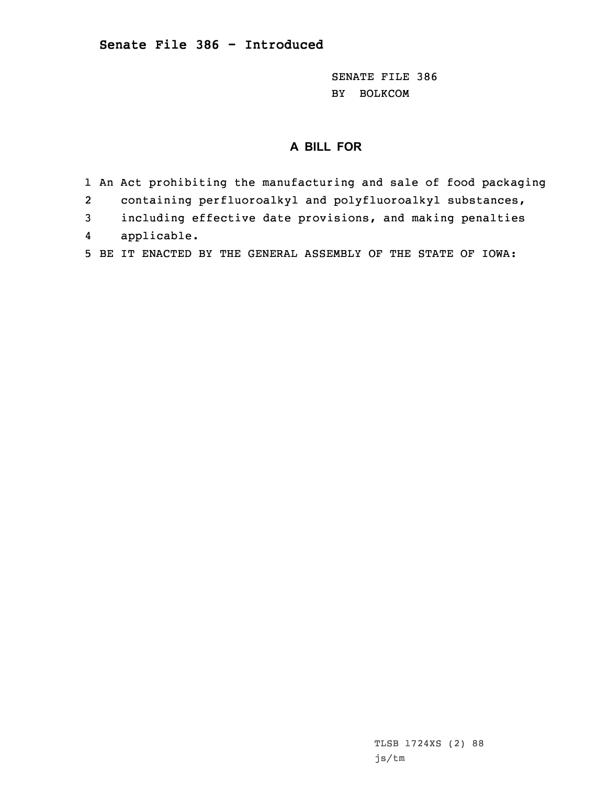SENATE FILE 386 BY BOLKCOM

## **A BILL FOR**

- 1 An Act prohibiting the manufacturing and sale of food packaging
- 2containing perfluoroalkyl and polyfluoroalkyl substances,
- 3 including effective date provisions, and making penalties
- 4applicable.
- 5 BE IT ENACTED BY THE GENERAL ASSEMBLY OF THE STATE OF IOWA: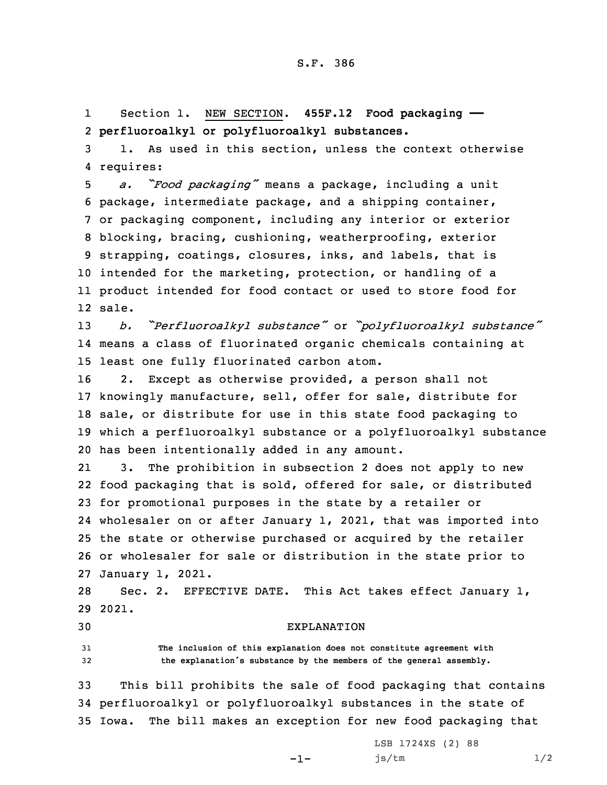1 Section 1. NEW SECTION. **455F.12 Food packaging ——** 2 **perfluoroalkyl or polyfluoroalkyl substances.**

3 1. As used in this section, unless the context otherwise 4 requires:

 *a. "Food packaging"* means <sup>a</sup> package, including <sup>a</sup> unit package, intermediate package, and <sup>a</sup> shipping container, or packaging component, including any interior or exterior blocking, bracing, cushioning, weatherproofing, exterior strapping, coatings, closures, inks, and labels, that is intended for the marketing, protection, or handling of <sup>a</sup> product intended for food contact or used to store food for 12 sale.

<sup>13</sup> *b. "Perfluoroalkyl substance"* or *"polyfluoroalkyl substance"* 14 means <sup>a</sup> class of fluorinated organic chemicals containing at 15 least one fully fluorinated carbon atom.

 2. Except as otherwise provided, <sup>a</sup> person shall not knowingly manufacture, sell, offer for sale, distribute for sale, or distribute for use in this state food packaging to which <sup>a</sup> perfluoroalkyl substance or <sup>a</sup> polyfluoroalkyl substance has been intentionally added in any amount.

21 3. The prohibition in subsection 2 does not apply to new food packaging that is sold, offered for sale, or distributed for promotional purposes in the state by <sup>a</sup> retailer or wholesaler on or after January 1, 2021, that was imported into the state or otherwise purchased or acquired by the retailer or wholesaler for sale or distribution in the state prior to January 1, 2021.

28 Sec. 2. EFFECTIVE DATE. This Act takes effect January 1, 29 2021.

## 30 EXPLANATION

31 **The inclusion of this explanation does not constitute agreement with** <sup>32</sup> **the explanation's substance by the members of the general assembly.**

33 This bill prohibits the sale of food packaging that contains 34 perfluoroalkyl or polyfluoroalkyl substances in the state of 35 Iowa. The bill makes an exception for new food packaging that

-1-

LSB 1724XS (2) 88 js/tm 1/2